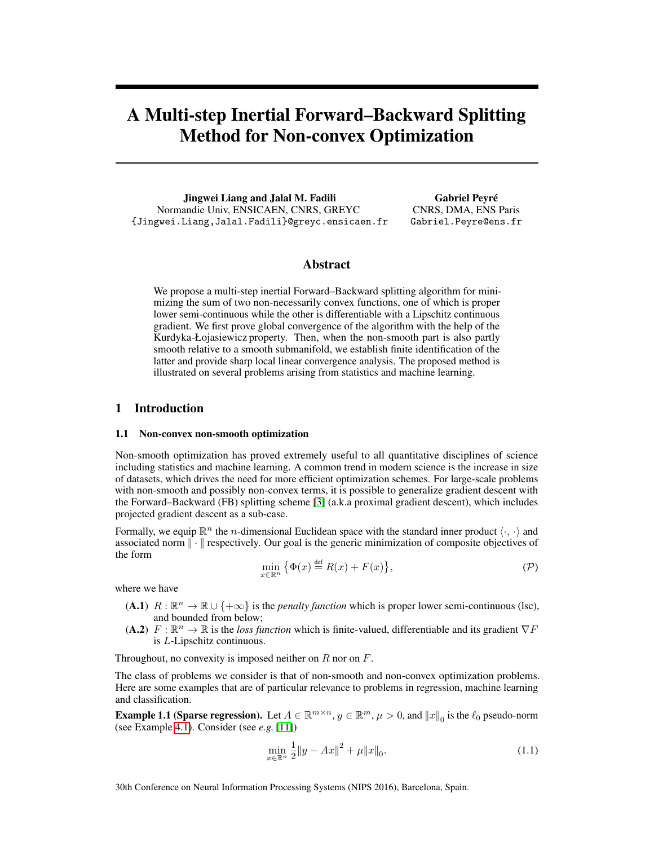# A Multi-step Inertial Forward–Backward Splitting Method for Non-convex Optimization

Jingwei Liang and Jalal M. Fadili Normandie Univ, ENSICAEN, CNRS, GREYC {Jingwei.Liang,Jalal.Fadili}@greyc.ensicaen.fr

Gabriel Peyré CNRS, DMA, ENS Paris Gabriel.Peyre@ens.fr

# Abstract

We propose a multi-step inertial Forward–Backward splitting algorithm for minimizing the sum of two non-necessarily convex functions, one of which is proper lower semi-continuous while the other is differentiable with a Lipschitz continuous gradient. We first prove global convergence of the algorithm with the help of the Kurdyka-Łojasiewicz property. Then, when the non-smooth part is also partly smooth relative to a smooth submanifold, we establish finite identification of the latter and provide sharp local linear convergence analysis. The proposed method is illustrated on several problems arising from statistics and machine learning.

# 1 Introduction

#### 1.1 Non-convex non-smooth optimization

Non-smooth optimization has proved extremely useful to all quantitative disciplines of science including statistics and machine learning. A common trend in modern science is the increase in size of datasets, which drives the need for more efficient optimization schemes. For large-scale problems with non-smooth and possibly non-convex terms, it is possible to generalize gradient descent with the Forward–Backward (FB) splitting scheme [3] (a.k.a proximal gradient descent), which includes projected gradient descent as a sub-case.

Formally, we equip  $\mathbb{R}^n$  the *n*-dimensional Euclidean space with the standard inner product  $\langle \cdot, \cdot \rangle$  and associated norm  $\|\cdot\|$  respectively. Our goal is the generic minimization of composite objectives of the form

$$
\min_{x \in \mathbb{R}^n} \{ \Phi(x) \stackrel{\text{def}}{=} R(x) + F(x) \},\tag{P}
$$

where we have

- (A.1)  $R : \mathbb{R}^n \to \mathbb{R} \cup \{+\infty\}$  is the *penalty function* which is proper lower semi-continuous (lsc), and bounded from below;
- (A.2)  $F : \mathbb{R}^n \to \mathbb{R}$  is the *loss function* which is finite-valued, differentiable and its gradient  $\nabla F$ is L-Lipschitz continuous.

Throughout, no convexity is imposed neither on  $R$  nor on  $F$ .

The class of problems we consider is that of non-smooth and non-convex optimization problems. Here are some examples that are of particular relevance to problems in regression, machine learning and classification.

**Example 1.1 (Sparse regression).** Let  $A \in \mathbb{R}^{m \times n}$ ,  $y \in \mathbb{R}^m$ ,  $\mu > 0$ , and  $||x||_0$  is the  $\ell_0$  pseudo-norm (see Example 4.1). Consider (see *e.g.* [11])

$$
\min_{x \in \mathbb{R}^n} \frac{1}{2} \|y - Ax\|^2 + \mu \|x\|_0.
$$
\n(1.1)

30th Conference on Neural Information Processing Systems (NIPS 2016), Barcelona, Spain.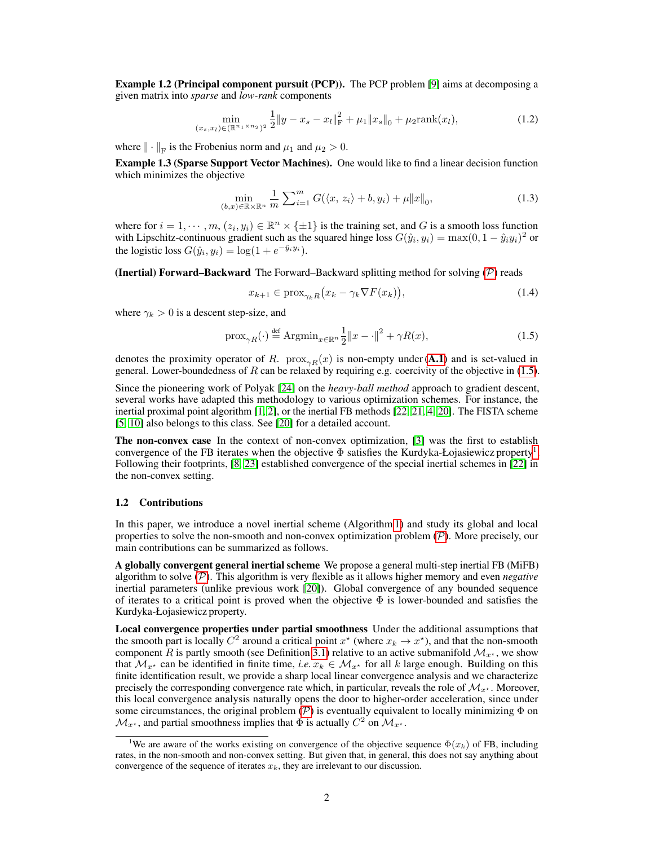Example 1.2 (Principal component pursuit (PCP)). The PCP problem [9] aims at decomposing a given matrix into *sparse* and *low-rank* components

$$
\min_{(x_s, x_l) \in (\mathbb{R}^{n_1 \times n_2})^2} \frac{1}{2} \|y - x_s - x_l\|_{\mathcal{F}}^2 + \mu_1 \|x_s\|_0 + \mu_2 \text{rank}(x_l),\tag{1.2}
$$

where  $\|\cdot\|_{\text{F}}$  is the Frobenius norm and  $\mu_1$  and  $\mu_2 > 0$ .

Example 1.3 (Sparse Support Vector Machines). One would like to find a linear decision function which minimizes the objective

$$
\min_{(b,x)\in\mathbb{R}\times\mathbb{R}^n} \frac{1}{m} \sum_{i=1}^m G(\langle x, z_i \rangle + b, y_i) + \mu \|x\|_0,
$$
\n(1.3)

where for  $i = 1, \dots, m, (z_i, y_i) \in \mathbb{R}^n \times \{\pm 1\}$  is the training set, and G is a smooth loss function with Lipschitz-continuous gradient such as the squared hinge loss  $G(\hat{y}_i, y_i) = \max(0, 1 - \hat{y}_i y_i)^2$  or the logistic loss  $G(\hat{y}_i, y_i) = \log(1 + e^{-\hat{y}_i y_i}).$ 

**(Inertial) Forward–Backward** The Forward–Backward splitting method for solving  $(P)$  reads

$$
x_{k+1} \in \text{prox}_{\gamma_k R}(x_k - \gamma_k \nabla F(x_k)),\tag{1.4}
$$

where  $\gamma_k > 0$  is a descent step-size, and

$$
\text{prox}_{\gamma R}(\cdot) \stackrel{\text{def}}{=} \text{Argmin}_{x \in \mathbb{R}^n} \frac{1}{2} \|x - \cdot\|^2 + \gamma R(x),\tag{1.5}
$$

denotes the proximity operator of R. prox<sub> $\gamma R(x)$ </sub> is non-empty under (A.1) and is set-valued in general. Lower-boundedness of R can be relaxed by requiring e.g. coercivity of the objective in (1.5).

Since the pioneering work of Polyak [24] on the *heavy-ball method* approach to gradient descent, several works have adapted this methodology to various optimization schemes. For instance, the inertial proximal point algorithm [1, 2], or the inertial FB methods [22, 21, 4, 20]. The FISTA scheme [5, 10] also belongs to this class. See [20] for a detailed account.

The non-convex case In the context of non-convex optimization, [3] was the first to establish convergence of the FB iterates when the objective  $\Phi$  satisfies the Kurdyka-Łojasiewicz property<sup>1</sup>. Following their footprints, [8, 23] established convergence of the special inertial schemes in [22] in the non-convex setting.

#### 1.2 Contributions

In this paper, we introduce a novel inertial scheme (Algorithm 1) and study its global and local properties to solve the non-smooth and non-convex optimization problem  $(\mathcal{P})$ . More precisely, our main contributions can be summarized as follows.

A globally convergent general inertial scheme We propose a general multi-step inertial FB (MiFB) algorithm to solve (P). This algorithm is very flexible as it allows higher memory and even *negative* inertial parameters (unlike previous work [20]). Global convergence of any bounded sequence of iterates to a critical point is proved when the objective  $\Phi$  is lower-bounded and satisfies the Kurdyka-Łojasiewicz property.

Local convergence properties under partial smoothness Under the additional assumptions that the smooth part is locally  $C^2$  around a critical point  $x^*$  (where  $x_k \to x^*$ ), and that the non-smooth component R is partly smooth (see Definition 3.1) relative to an active submanifold  $\mathcal{M}_{x^*}$ , we show that  $\mathcal{M}_{x^*}$  can be identified in finite time, *i.e.*  $x_k \in \mathcal{M}_{x^*}$  for all k large enough. Building on this finite identification result, we provide a sharp local linear convergence analysis and we characterize precisely the corresponding convergence rate which, in particular, reveals the role of  $\mathcal{M}_{x^*}$ . Moreover, this local convergence analysis naturally opens the door to higher-order acceleration, since under some circumstances, the original problem  $(\mathcal{P})$  is eventually equivalent to locally minimizing  $\Phi$  on  $\mathcal{M}_{x^*}$ , and partial smoothness implies that  $\Phi$  is actually  $C^2$  on  $\mathcal{M}_{x^*}$ .

<sup>&</sup>lt;sup>1</sup>We are aware of the works existing on convergence of the objective sequence  $\Phi(x_k)$  of FB, including rates, in the non-smooth and non-convex setting. But given that, in general, this does not say anything about convergence of the sequence of iterates  $x_k$ , they are irrelevant to our discussion.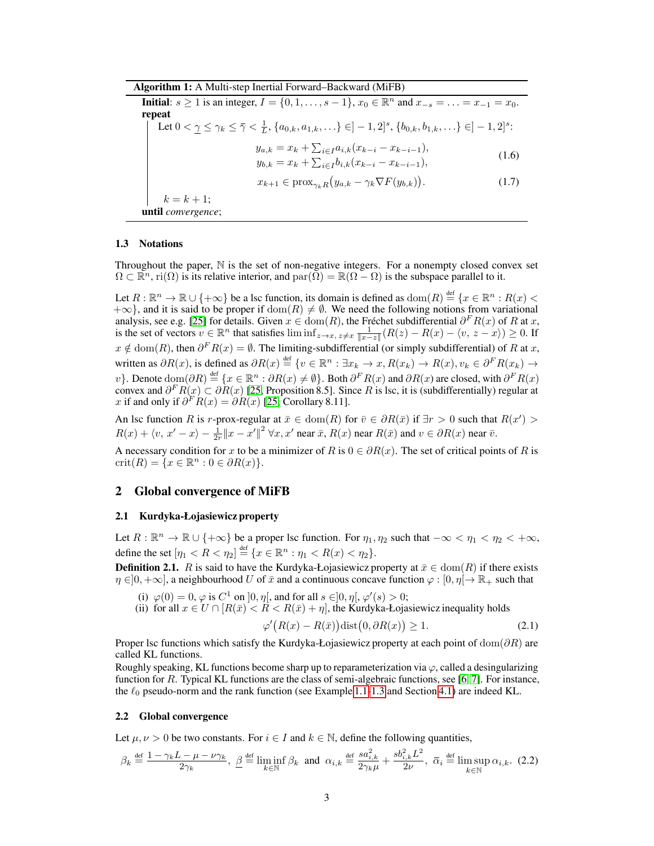Algorithm 1: A Multi-step Inertial Forward–Backward (MiFB)

**Initial:**  $s \ge 1$  is an integer,  $I = \{0, 1, \ldots, s - 1\}$ ,  $x_0 \in \mathbb{R}^n$  and  $x_{-s} = \ldots = x_{-1} = x_0$ . repeat Let  $0 < \gamma \leq \gamma_k \leq \bar{\gamma} < \frac{1}{L}$ ,  $\{a_{0,k}, a_{1,k}, \ldots\} \in ]-1, 2]^s$ ,  $\{b_{0,k}, b_{1,k}, \ldots\} \in ]-1, 2]^s$ :  $y_{a,k} = x_k + \sum_{i \in I} a_{i,k} (x_{k-i} - x_{k-i-1}),$  $y_{b,k} = x_k + \sum_{i \in I} b_{i,k}(x_{k-i} - x_{k-i-1}),$ (1.6)  $x_{k+1} \in \text{prox}_{\gamma_k R}(y_{a,k} - \gamma_k \nabla F(y_{b,k}))$  $(1.7)$  $k = k + 1;$ until *convergence*;

#### 1.3 Notations

Throughout the paper,  $\mathbb N$  is the set of non-negative integers. For a nonempty closed convex set  $\Omega \subset \mathbb{R}^n$ , ri $(\Omega)$  is its relative interior, and  $\mathrm{par}(\Omega) = \mathbb{R}(\Omega - \Omega)$  is the subspace parallel to it.

Let  $R: \mathbb{R}^n \to \mathbb{R} \cup \{+\infty\}$  be a lsc function, its domain is defined as  $\text{dom}(R) \stackrel{\text{def}}{=} \{x \in \mathbb{R}^n : R(x) <$  $+\infty$ }, and it is said to be proper if  $dom(R) \neq \emptyset$ . We need the following notions from variational analysis, see e.g. [25] for details. Given  $x \in \text{dom}(R)$ , the Fréchet subdifferential  $\partial^F R(x)$  of R at x, is the set of vectors  $v \in \mathbb{R}^n$  that satisfies  $\liminf_{z \to x, z \neq x} \frac{1}{||x-z||} (R(z) - R(x) - \langle v, z - x \rangle) \ge 0$ . If  $x \notin \text{dom}(R)$ , then  $\partial^F R(x) = \emptyset$ . The limiting-subdifferential (or simply subdifferential) of R at x, written as  $\partial R(x)$ , is defined as  $\partial R(x) \stackrel{\text{def}}{=} \{v \in \mathbb{R}^n : \exists x_k \to x, R(x_k) \to R(x), v_k \in \partial^F R(x_k) \to \partial^F R(x_k) \}$ v}. Denote  $\text{dom}(\partial R) \stackrel{\text{def}}{=} \{x \in \mathbb{R}^n : \partial R(x) \neq \emptyset\}$ . Both  $\partial^F R(x)$  and  $\partial R(x)$  are closed, with  $\partial^F R(x)$ convex and  $\partial^F R(x) \subset \partial R(x)$  [25, Proposition 8.5]. Since R is lsc, it is (subdifferentially) regular at x if and only if  $\partial^F R(x) = \partial R(x)$  [25, Corollary 8.11].

An lsc function R is r-prox-regular at  $\bar{x} \in \text{dom}(R)$  for  $\bar{v} \in \partial R(\bar{x})$  if  $\exists r > 0$  such that  $R(x') > 0$  $R(x) + \langle v, x' - x \rangle - \frac{1}{2r} ||x - x'||^2 \,\forall x, x'$  near  $\bar{x}, R(x)$  near  $R(\bar{x})$  and  $v \in \partial R(x)$  near  $\bar{v}$ .

A necessary condition for x to be a minimizer of R is  $0 \in \partial R(x)$ . The set of critical points of R is crit $(R) = \{x \in \mathbb{R}^n : 0 \in \partial R(x)\}.$ 

## 2 Global convergence of MiFB

#### 2.1 Kurdyka-Łojasiewicz property

Let  $R: \mathbb{R}^n \to \mathbb{R} \cup \{+\infty\}$  be a proper lsc function. For  $\eta_1, \eta_2$  such that  $-\infty < \eta_1 < \eta_2 < +\infty$ , define the set  $[\eta_1 < R < \eta_2] \stackrel{\text{def}}{=} \{x \in \mathbb{R}^n : \eta_1 < R(x) < \eta_2\}.$ 

**Definition 2.1.** R is said to have the Kurdyka-Łojasiewicz property at  $\bar{x} \in \text{dom}(R)$  if there exists  $\eta \in ]0, +\infty]$ , a neighbourhood U of  $\bar{x}$  and a continuous concave function  $\varphi : [0, \eta] \to \mathbb{R}_+$  such that

- (i)  $\varphi(0) = 0$ ,  $\varphi$  is  $C^1$  on  $\vert 0, \eta \vert$ , and for all  $s \in ]0, \eta \vert, \varphi'(s) > 0;$
- (ii) for all  $x \in U \cap [R(\bar{x}) < R < R(\bar{x}) + \eta]$ , the Kurdyka-Łojasiewicz inequality holds

$$
\varphi'(R(x) - R(\bar{x}))\text{dist}(0, \partial R(x)) \ge 1. \tag{2.1}
$$

Proper lsc functions which satisfy the Kurdyka-Łojasiewicz property at each point of  $dom(\partial R)$  are called KL functions.

Roughly speaking, KL functions become sharp up to reparameterization via  $\varphi$ , called a desingularizing function for R. Typical KL functions are the class of semi-algebraic functions, see [6, 7]. For instance, the  $\ell_0$  pseudo-norm and the rank function (see Example 1.1-1.3 and Section 4.1) are indeed KL.

## 2.2 Global convergence

Let  $\mu, \nu > 0$  be two constants. For  $i \in I$  and  $k \in \mathbb{N}$ , define the following quantities,

$$
\beta_k \stackrel{\text{def}}{=} \frac{1 - \gamma_k L - \mu - \nu \gamma_k}{2\gamma_k}, \ \beta \stackrel{\text{def}}{=} \liminf_{k \in \mathbb{N}} \beta_k \ \text{and} \ \alpha_{i,k} \stackrel{\text{def}}{=} \frac{s a_{i,k}^2}{2\gamma_k \mu} + \frac{s b_{i,k}^2 L^2}{2\nu}, \ \overline{\alpha}_i \stackrel{\text{def}}{=} \limsup_{k \in \mathbb{N}} \alpha_{i,k}. \tag{2.2}
$$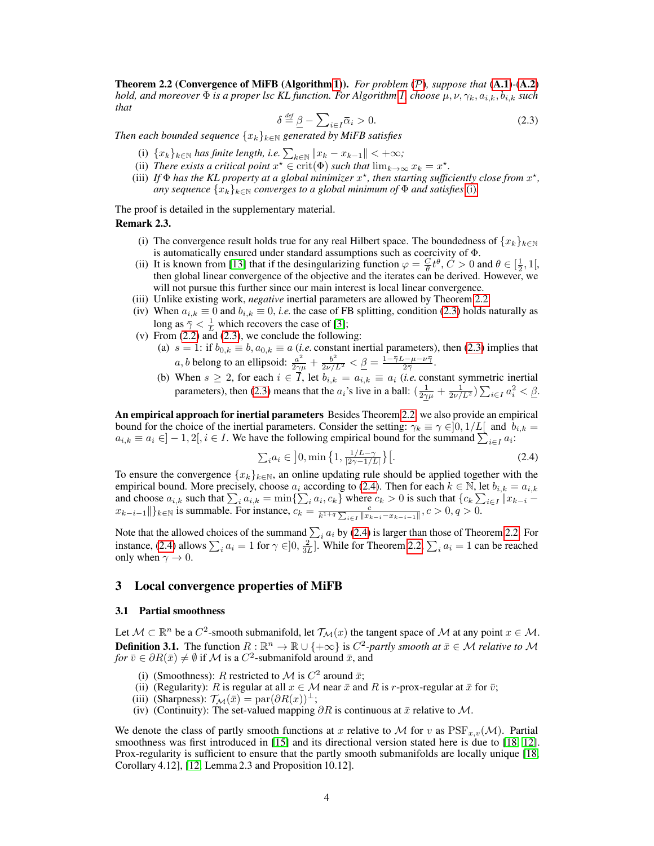Theorem 2.2 (Convergence of MiFB (Algorithm 1)). *For problem* (P)*, suppose that* (A.1)*-*(A.2) *hold, and moreover*  $\Phi$  *is a proper lsc KL function. For Algorithm 1, choose*  $\mu$ ,  $\nu$ ,  $\gamma_k$ ,  $a_{i,k}$ ,  $b_{i,k}$  *such that*

$$
\delta \stackrel{\text{def}}{=} \underline{\beta} - \sum_{i \in I} \overline{\alpha}_i > 0. \tag{2.3}
$$

*Then each bounded sequence*  $\{x_k\}_{k\in\mathbb{N}}$  *generated by MiFB satisfies* 

- (i)  $\{x_k\}_{k\in\mathbb{N}}$  *has finite length, i.e.*  $\sum_{k\in\mathbb{N}} \|x_k x_{k-1}\| < +\infty$ ;
- (ii) *There exists a critical point*  $x^* \in \text{crit}(\Phi)$  *such that*  $\lim_{k \to \infty} x_k = x^*$ .
- (iii) If  $\Phi$  has the KL property at a global minimizer  $x^*$ , then starting sufficiently close from  $x^*$ , *any sequence*  $\{x_k\}_{k\in\mathbb{N}}$  *converges to a global minimum of*  $\Phi$  *and satisfies* (i).

The proof is detailed in the supplementary material.

# Remark 2.3.

- (i) The convergence result holds true for any real Hilbert space. The boundedness of  $\{x_k\}_{k\in\mathbb{N}}$ is automatically ensured under standard assumptions such as coercivity of Φ.
- (ii) It is known from [13] that if the desingularizing function  $\varphi = \frac{C}{\theta} t^{\theta}$ ,  $C > 0$  and  $\theta \in [\frac{1}{2}, 1]$ , then global linear convergence of the objective and the iterates can be derived. However, we will not pursue this further since our main interest is local linear convergence.
- (iii) Unlike existing work, *negative* inertial parameters are allowed by Theorem 2.2.
- (iv) When  $a_{i,k} \equiv 0$  and  $b_{i,k} \equiv 0$ , *i.e.* the case of FB splitting, condition (2.3) holds naturally as long as  $\overline{\gamma} < \frac{1}{L}$  which recovers the case of [3];
- (v) From  $(2.2)$  and  $(2.3)$ , we conclude the following:
	- (a)  $s = 1$ : if  $b_{0,k} \equiv b, a_{0,k} \equiv a$  (*i.e.* constant inertial parameters), then (2.3) implies that *a*, *b* belong to an ellipsoid:  $\frac{a^2}{2\gamma\mu} + \frac{b^2}{2\nu/L^2} < \underline{\beta} = \frac{1 - \overline{\gamma}L - \mu - \nu\overline{\gamma}}{2\overline{\gamma}}$ .
	- (b) When  $s \ge 2$ , for each  $i \in I$ , let  $b_{i,k} = a_{i,k} \equiv a_i$  (*i.e.* constant symmetric inertial parameters), then (2.3) means that the  $a_i$ 's live in a ball:  $\left(\frac{1}{2\gamma\mu} + \frac{1}{2\nu/L^2}\right)\sum_{i \in I} a_i^2 < \underline{\beta}$ .

An empirical approach for inertial parameters Besides Theorem 2.2, we also provide an empirical bound for the choice of the inertial parameters. Consider the setting:  $\gamma_k \equiv \gamma \in ]0, 1/L[$  and  $b_{i,k} =$  $a_{i,k} \equiv a_i \in ]-1,2[, i \in I$ . We have the following empirical bound for the summand  $\sum_{i \in I} a_i$ :

$$
\sum_{i} a_i \in \left] 0, \min \left\{ 1, \frac{1/L - \gamma}{|2\gamma - 1/L|} \right\} \right[.
$$
 (2.4)

To ensure the convergence  $\{x_k\}_{k\in\mathbb{N}}$ , an online updating rule should be applied together with the empirical bound. More precisely, choose  $a_i$  according to (2.4). Then for each  $k \in \mathbb{N}$ , let  $b_{i,k} = a_{i,k}$ and choose  $a_{i,k}$  such that  $\sum_i a_{i,k} = \min\{\sum_i a_i, c_k\}$  where  $c_k > 0$  is such that  $\{c_k\sum_{i\in I} ||x_{k-i}$  $x_{k-i-1}$ ||} $_{k\in\mathbb{N}}$  is summable. For instance,  $c_k = \frac{c}{k^{1+q}\sum_{i\in I}||x_{k-i}-x_{k-i-1}||}$ ,  $c > 0, q > 0$ .

Note that the allowed choices of the summand  $\sum_i a_i$  by (2.4) is larger than those of Theorem 2.2. For instance, (2.4) allows  $\sum_i a_i = 1$  for  $\gamma \in ]0, \frac{2}{3L}]$ . While for Theorem 2.2,  $\sum_i a_i = 1$  can be reached only when  $\gamma \to 0$ .

## 3 Local convergence properties of MiFB

## 3.1 Partial smoothness

Let  $\mathcal{M} \subset \mathbb{R}^n$  be a  $C^2$ -smooth submanifold, let  $\mathcal{T}_{\mathcal{M}}(x)$  the tangent space of  $\mathcal M$  at any point  $x \in \mathcal{M}$ . **Definition 3.1.** The function  $R : \mathbb{R}^n \to \mathbb{R} \cup \{+\infty\}$  is  $C^2$ -partly smooth at  $\bar{x} \in \mathcal{M}$  relative to M *for*  $\bar{v} \in \partial R(\bar{x}) \neq \emptyset$  if M is a  $C^2$ -submanifold around  $\bar{x}$ , and

- (i) (Smoothness): R restricted to M is  $C^2$  around  $\bar{x}$ ;
- (ii) (Regularity): R is regular at all  $x \in \mathcal{M}$  near  $\bar{x}$  and R is r-prox-regular at  $\bar{x}$  for  $\bar{v}$ ;
- (iii) (Sharpness):  $\mathcal{T}_{\mathcal{M}}(\bar{x}) = \text{par}(\partial R(x))^{\perp};$
- (iv) (Continuity): The set-valued mapping  $\partial R$  is continuous at  $\bar{x}$  relative to  $\mathcal{M}$ .

We denote the class of partly smooth functions at x relative to M for v as  $PSF_{x,y}(\mathcal{M})$ . Partial smoothness was first introduced in [15] and its directional version stated here is due to [18, 12]. Prox-regularity is sufficient to ensure that the partly smooth submanifolds are locally unique [18, Corollary 4.12], [12, Lemma 2.3 and Proposition 10.12].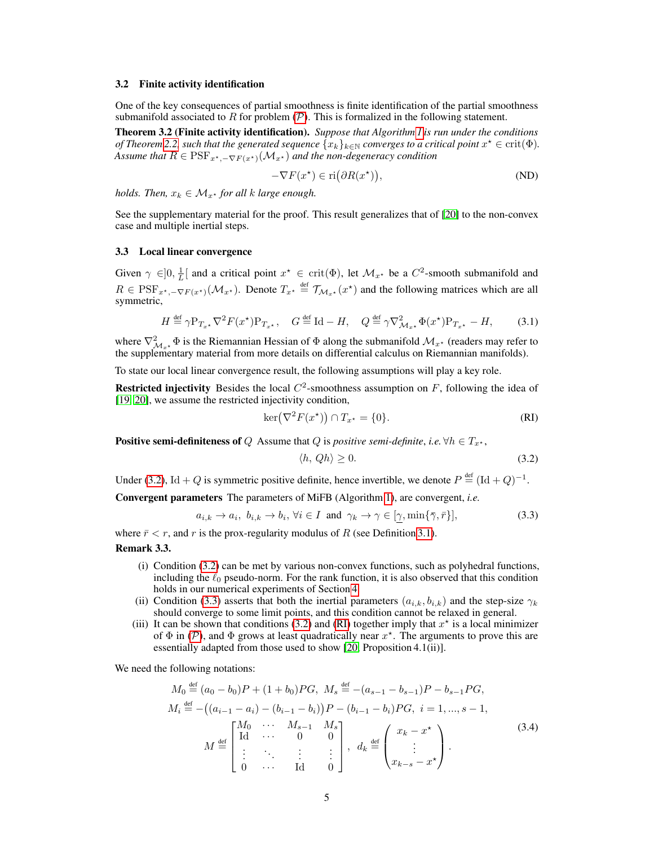#### 3.2 Finite activity identification

One of the key consequences of partial smoothness is finite identification of the partial smoothness submanifold associated to R for problem  $(P)$ . This is formalized in the following statement.

Theorem 3.2 (Finite activity identification). *Suppose that Algorithm 1 is run under the conditions* of Theorem 2.2, such that the generated sequence  $\{x_k\}_{k\in\mathbb{N}}$  converges to a critical point  $x^\star\in\mathrm{crit}(\Phi)$ . *Assume that*  $R \in \text{PSF}_{x^*,-\nabla F(x^*)}(\mathcal{M}_{x^*})$  *and the non-degeneracy condition* 

$$
-\nabla F(x^*) \in \text{ri}(\partial R(x^*)),\tag{ND}
$$

*holds. Then,*  $x_k \in \mathcal{M}_{x^*}$  *for all k large enough.* 

See the supplementary material for the proof. This result generalizes that of [20] to the non-convex case and multiple inertial steps.

# 3.3 Local linear convergence

Given  $\gamma \in ]0, \frac{1}{L}[\]$  and a critical point  $x^* \in \text{crit}(\Phi)$ , let  $\mathcal{M}_{x^*}$  be a  $C^2$ -smooth submanifold and L  $R \in \text{PSF}_{x^*, -\nabla F(x^*)}(\mathcal{M}_{x^*})$ . Denote  $T_{x^*} \stackrel{\text{def}}{=} \mathcal{T}_{\mathcal{M}_{x^*}}(x^*)$  and the following matrices which are all symmetric,

$$
H \stackrel{\text{def}}{=} \gamma \mathcal{P}_{T_{x^*}} \nabla^2 F(x^*) \mathcal{P}_{T_{x^*}}, \quad G \stackrel{\text{def}}{=} \text{Id} - H, \quad Q \stackrel{\text{def}}{=} \gamma \nabla^2_{\mathcal{M}_{x^*}} \Phi(x^*) \mathcal{P}_{T_{x^*}} - H,\tag{3.1}
$$

where  $\nabla^2_{\mathcal{M}_{x^*}} \Phi$  is the Riemannian Hessian of  $\Phi$  along the submanifold  $\mathcal{M}_{x^*}$  (readers may refer to the supplementary material from more details on differential calculus on Riemannian manifolds).

To state our local linear convergence result, the following assumptions will play a key role.

**Restricted injectivity** Besides the local  $C^2$ -smoothness assumption on F, following the idea of [19, 20], we assume the restricted injectivity condition,

$$
\ker(\nabla^2 F(x^\star)) \cap T_{x^\star} = \{0\}.
$$
 (RI)

**Positive semi-definiteness of** Q Assume that Q is *positive semi-definite*, *i.e.*  $\forall h \in T_{x^*}$ ,

$$
\langle h, Qh \rangle \ge 0. \tag{3.2}
$$

Under (3.2), Id + Q is symmetric positive definite, hence invertible, we denote  $P \stackrel{\text{def}}{=} (\text{Id} + Q)^{-1}$ .

Convergent parameters The parameters of MiFB (Algorithm 1), are convergent, *i.e.*

$$
a_{i,k} \to a_i, \ b_{i,k} \to b_i, \ \forall i \in I \ \text{and} \ \gamma_k \to \gamma \in [\gamma, \min\{\overline{\gamma}, \overline{r}\}],
$$
\n
$$
(3.3)
$$

where  $\bar{r} < r$ , and r is the prox-regularity modulus of R (see Definition 3.1).

# Remark 3.3.

- (i) Condition (3.2) can be met by various non-convex functions, such as polyhedral functions, including the  $\ell_0$  pseudo-norm. For the rank function, it is also observed that this condition holds in our numerical experiments of Section 4.
- (ii) Condition (3.3) asserts that both the inertial parameters  $(a_{i,k}, b_{i,k})$  and the step-size  $\gamma_k$ should converge to some limit points, and this condition cannot be relaxed in general.
- (iii) It can be shown that conditions (3.2) and (RI) together imply that  $x^*$  is a local minimizer of  $\Phi$  in (P), and  $\Phi$  grows at least quadratically near  $x^*$ . The arguments to prove this are essentially adapted from those used to show [20, Proposition 4.1(ii)].

We need the following notations:

$$
M_0 \stackrel{\text{def}}{=} (a_0 - b_0)P + (1 + b_0)PG, \ M_s \stackrel{\text{def}}{=} -(a_{s-1} - b_{s-1})P - b_{s-1}PG, M_i \stackrel{\text{def}}{=} -((a_{i-1} - a_i) - (b_{i-1} - b_i)P - (b_{i-1} - b_i)PG, \ i = 1, ..., s - 1, M \stackrel{\text{def}}{=} \begin{bmatrix} M_0 & \cdots & M_{s-1} & M_s \\ \text{Id} & \cdots & 0 & 0 \\ \vdots & \ddots & \vdots & \vdots \\ 0 & \cdots & \text{Id} & 0 \end{bmatrix}, \ d_k \stackrel{\text{def}}{=} \begin{pmatrix} x_k - x^* \\ \vdots \\ x_{k-s} - x^* \end{pmatrix}.
$$
 (3.4)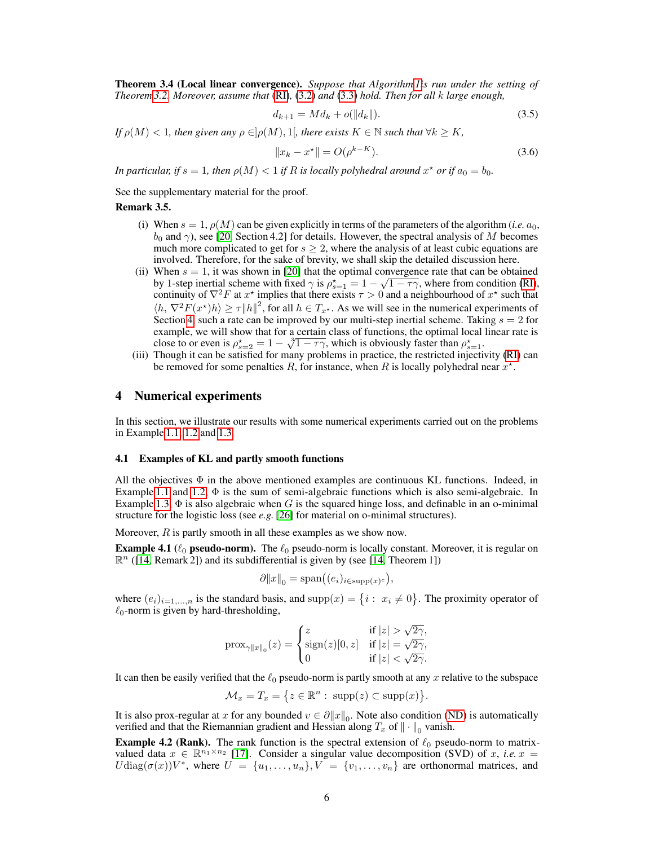Theorem 3.4 (Local linear convergence). *Suppose that Algorithm 1is run under the setting of Theorem 3.2. Moreover, assume that* (RI)*,* (3.2) *and* (3.3) *hold. Then for all* k *large enough,*

$$
d_{k+1} = Md_k + o(\|d_k\|). \tag{3.5}
$$

*If*  $\rho(M) < 1$ *, then given any*  $\rho \in ]\rho(M), 1]$ *, there exists*  $K \in \mathbb{N}$  *such that*  $\forall k \geq K$ *,* 

$$
||x_k - x^*|| = O(\rho^{k-K}).
$$
\n(3.6)

*In particular, if*  $s = 1$ *, then*  $\rho(M) < 1$  *if*  $R$  *is locally polyhedral around*  $x^*$  *or if*  $a_0 = b_0$ *.* 

See the supplementary material for the proof.

## Remark 3.5.

- (i) When  $s = 1$ ,  $\rho(M)$  can be given explicitly in terms of the parameters of the algorithm (*i.e.*  $a_0$ ,  $b_0$  and  $\gamma$ ), see [20, Section 4.2] for details. However, the spectral analysis of M becomes much more complicated to get for  $s \geq 2$ , where the analysis of at least cubic equations are involved. Therefore, for the sake of brevity, we shall skip the detailed discussion here.
- (ii) When  $s = 1$ , it was shown in [20] that the optimal convergence rate that can be obtained by 1-step inertial scheme with fixed  $\gamma$  is  $\rho_{s=1}^* = 1 - \sqrt{1 - \tau \gamma}$ , where from condition (RI), continuity of  $\nabla^2 F$  at  $x^*$  implies that there exists  $\tau > 0$  and a neighbourhood of  $x^*$  such that  $\langle h, \nabla^2 F(x^*)h \rangle \ge \tau \|h\|^2$ , for all  $h \in T_{x^*}$ . As we will see in the numerical experiments of Section 4, such a rate can be improved by our multi-step inertial scheme. Taking  $s = 2$  for example, we will show that for a certain class of functions, the optimal local linear rate is close to or even is  $\rho_{s=2}^* = 1 - \sqrt[3]{1 - \tau \gamma}$ , which is obviously faster than  $\rho_{s=1}^*$ .
- (iii) Though it can be satisfied for many problems in practice, the restricted injectivity (RI) can be removed for some penalties R, for instance, when R is locally polyhedral near  $x^*$ .

# 4 Numerical experiments

In this section, we illustrate our results with some numerical experiments carried out on the problems in Example 1.1, 1.2 and 1.3.

#### 4.1 Examples of KL and partly smooth functions

All the objectives  $\Phi$  in the above mentioned examples are continuous KL functions. Indeed, in Example 1.1 and 1.2,  $\Phi$  is the sum of semi-algebraic functions which is also semi-algebraic. In Example 1.3,  $\Phi$  is also algebraic when G is the squared hinge loss, and definable in an o-minimal structure for the logistic loss (see *e.g.* [26] for material on o-minimal structures).

Moreover,  $R$  is partly smooth in all these examples as we show now.

**Example 4.1** ( $\ell_0$  pseudo-norm). The  $\ell_0$  pseudo-norm is locally constant. Moreover, it is regular on  $\mathbb{R}^n$  ([14, Remark 2]) and its subdifferential is given by (see [14, Theorem 1])

$$
\partial \|x\|_0 = \text{span}((e_i)_{i \in \text{supp}(x)^c}),
$$

where  $(e_i)_{i=1,\dots,n}$  is the standard basis, and  $\text{supp}(x) = \{i : x_i \neq 0\}$ . The proximity operator of  $\ell_0$ -norm is given by hard-thresholding,

$$
\text{prox}_{\gamma \|x\|_0}(z) = \begin{cases} z & \text{if } |z| > \sqrt{2\gamma}, \\ \text{sign}(z)[0, z] & \text{if } |z| = \sqrt{2\gamma}, \\ 0 & \text{if } |z| < \sqrt{2\gamma}. \end{cases}
$$

It can then be easily verified that the  $\ell_0$  pseudo-norm is partly smooth at any x relative to the subspace

 $\mathcal{M}_x = T_x = \{ z \in \mathbb{R}^n : \text{ supp}(z) \subset \text{supp}(x) \}.$ 

It is also prox-regular at x for any bounded  $v \in \partial ||x||_0$ . Note also condition (ND) is automatically verified and that the Riemannian gradient and Hessian along  $T_x$  of  $\|\cdot\|_0$  vanish.

**Example 4.2 (Rank).** The rank function is the spectral extension of  $\ell_0$  pseudo-norm to matrixvalued data  $x \in \mathbb{R}^{n_1 \times n_2}$  [17]. Consider a singular value decomposition (SVD) of x, *i.e.*  $x =$  $U \text{diag}(\sigma(x)) V^*$ , where  $U = \{u_1, \ldots, u_n\}$ ,  $V = \{v_1, \ldots, v_n\}$  are orthonormal matrices, and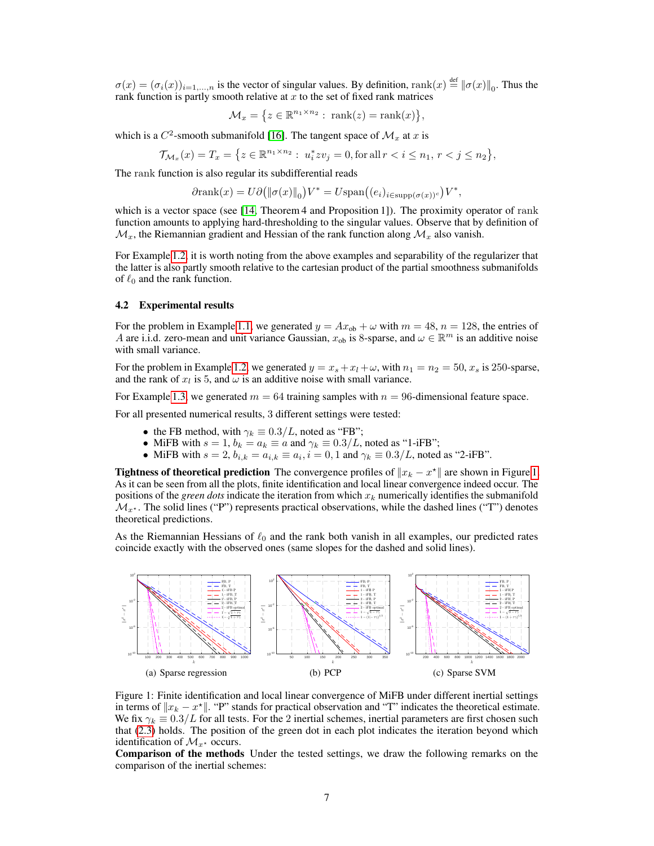$\sigma(x) = (\sigma_i(x))_{i=1,\dots,n}$  is the vector of singular values. By definition,  $\text{rank}(x) \stackrel{\text{def}}{=} ||\sigma(x)||_0$ . Thus the rank function is partly smooth relative at  $x$  to the set of fixed rank matrices

$$
\mathcal{M}_x = \{ z \in \mathbb{R}^{n_1 \times n_2} : \text{ rank}(z) = \text{rank}(x) \},
$$

which is a  $C^2$ -smooth submanifold [16]. The tangent space of  $\mathcal{M}_x$  at x is

$$
\mathcal{T}_{\mathcal{M}_x}(x) = T_x = \left\{ z \in \mathbb{R}^{n_1 \times n_2} : \ u_i^* z v_j = 0, \text{for all } r < i \le n_1, \ r < j \le n_2 \right\},
$$

The rank function is also regular its subdifferential reads

$$
\partial \text{rank}(x) = U \partial \big( \|\sigma(x)\|_0 \big) V^* = U \text{span}\big( (e_i)_{i \in \text{supp}(\sigma(x))^c} \big) V^*,
$$

which is a vector space (see [14, Theorem 4 and Proposition 1]). The proximity operator of rank function amounts to applying hard-thresholding to the singular values. Observe that by definition of  $\mathcal{M}_x$ , the Riemannian gradient and Hessian of the rank function along  $\mathcal{M}_x$  also vanish.

For Example 1.2, it is worth noting from the above examples and separability of the regularizer that the latter is also partly smooth relative to the cartesian product of the partial smoothness submanifolds of  $\ell_0$  and the rank function.

## 4.2 Experimental results

For the problem in Example 1.1, we generated  $y = Ax_{ob} + \omega$  with  $m = 48$ ,  $n = 128$ , the entries of A are i.i.d. zero-mean and unit variance Gaussian,  $x_{ob}$  is 8-sparse, and  $\omega \in \mathbb{R}^m$  is an additive noise with small variance.

For the problem in Example 1.2, we generated  $y = x_s + x_l + \omega$ , with  $n_1 = n_2 = 50$ ,  $x_s$  is 250-sparse, and the rank of  $x_l$  is 5, and  $\omega$  is an additive noise with small variance.

For Example 1.3, we generated  $m = 64$  training samples with  $n = 96$ -dimensional feature space.

For all presented numerical results, 3 different settings were tested:

- the FB method, with  $\gamma_k \equiv 0.3/L$ , noted as "FB";
- MiFB with  $s = 1$ ,  $b_k = a_k \equiv a$  and  $\gamma_k \equiv 0.3/L$ , noted as "1-iFB";
- MiFB with  $s = 2$ ,  $b_{i,k} = a_{i,k} \equiv a_i$ ,  $i = 0, 1$  and  $\gamma_k \equiv 0.3/L$ , noted as "2-iFB".

**Tightness of theoretical prediction** The convergence profiles of  $||x_k - x^*||$  are shown in Figure 1. As it can be seen from all the plots, finite identification and local linear convergence indeed occur. The positions of the *green dots* indicate the iteration from which  $x_k$  numerically identifies the submanifold  $\mathcal{M}_{x^*}$ . The solid lines ("P") represents practical observations, while the dashed lines ("T") denotes theoretical predictions.

As the Riemannian Hessians of  $\ell_0$  and the rank both vanish in all examples, our predicted rates coincide exactly with the observed ones (same slopes for the dashed and solid lines).



Figure 1: Finite identification and local linear convergence of MiFB under different inertial settings in terms of  $||x_k - x^*||$ . "P" stands for practical observation and "T" indicates the theoretical estimate. We fix  $\gamma_k \equiv 0.3/L$  for all tests. For the 2 inertial schemes, inertial parameters are first chosen such that (2.3) holds. The position of the green dot in each plot indicates the iteration beyond which identification of  $\mathcal{M}_{x^*}$  occurs.

Comparison of the methods Under the tested settings, we draw the following remarks on the comparison of the inertial schemes: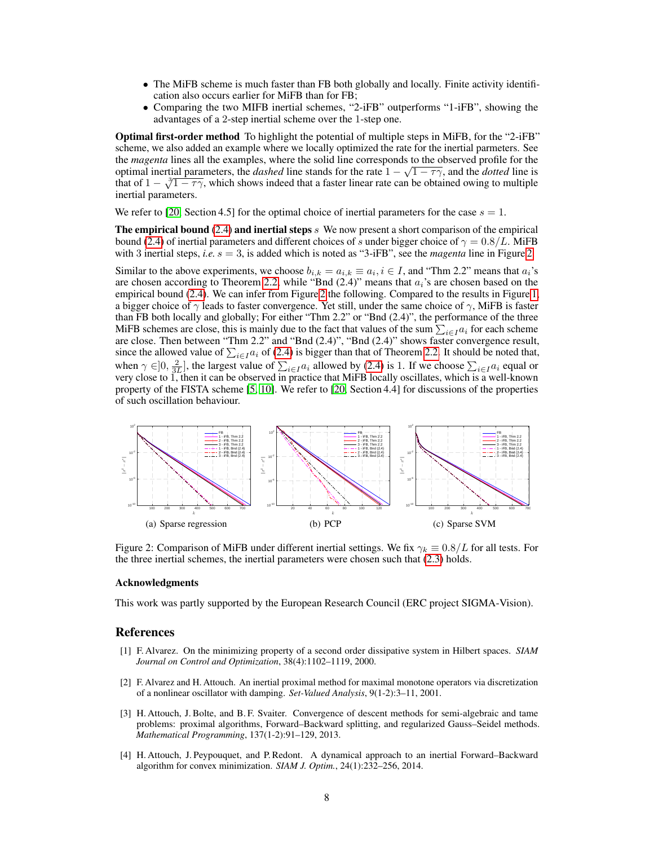- The MiFB scheme is much faster than FB both globally and locally. Finite activity identification also occurs earlier for MiFB than for FB;
- Comparing the two MIFB inertial schemes, "2-iFB" outperforms "1-iFB", showing the advantages of a 2-step inertial scheme over the 1-step one.

Optimal first-order method To highlight the potential of multiple steps in MiFB, for the "2-iFB" scheme, we also added an example where we locally optimized the rate for the inertial parmeters. See the *magenta* lines all the examples, where the solid line corresponds to the observed profile for the optimal inertial parameters, the *dashed* line stands for the rate  $1 - \sqrt{1 - \tau \gamma}$ , and the *dotted* line is that of  $1 - \sqrt[3]{1 - \tau \gamma}$ , which shows indeed that a faster linear rate can be obtained owing to multiple inertial parameters.

We refer to [20, Section 4.5] for the optimal choice of inertial parameters for the case  $s = 1$ .

The empirical bound  $(2.4)$  and inertial steps s We now present a short comparison of the empirical bound (2.4) of inertial parameters and different choices of s under bigger choice of  $\gamma = 0.8/L$ . MiFB with 3 inertial steps, *i.e.*  $s = 3$ , is added which is noted as "3-iFB", see the *magenta* line in Figure 2.

Similar to the above experiments, we choose  $b_{i,k} = a_{i,k} \equiv a_i, i \in I$ , and "Thm 2.2" means that  $a_i$ 's are chosen according to Theorem 2.2, while "Bnd  $(2.4)$ " means that  $a_i$ 's are chosen based on the empirical bound (2.4). We can infer from Figure 2 the following. Compared to the results in Figure 1, a bigger choice of  $\gamma$  leads to faster convergence. Yet still, under the same choice of  $\gamma$ , MiFB is faster than FB both locally and globally; For either "Thm 2.2" or "Bnd (2.4)", the performance of the three MiFB schemes are close, this is mainly due to the fact that values of the sum  $\sum_{i \in I} a_i$  for each scheme are close. Then between "Thm 2.2" and "Bnd  $(2.4)$ ", "Bnd  $(2.4)$ " shows faster convergence result, since the allowed value of  $\sum_{i \in I} a_i$  of (2.4) is bigger than that of Theorem 2.2. It should be noted that, when  $\gamma \in ]0, \frac{2}{3L}]$ , the largest value of  $\sum_{i \in I} a_i$  allowed by (2.4) is 1. If we choose  $\sum_{i \in I} a_i$  equal or very close to 1, then it can be observed in practice that MiFB locally oscillates, which is a well-known property of the FISTA scheme [5, 10]. We refer to [20, Section 4.4] for discussions of the properties of such oscillation behaviour.



Figure 2: Comparison of MiFB under different inertial settings. We fix  $\gamma_k \equiv 0.8/L$  for all tests. For the three inertial schemes, the inertial parameters were chosen such that (2.3) holds.

#### Acknowledgments

This work was partly supported by the European Research Council (ERC project SIGMA-Vision).

### References

- [1] F. Alvarez. On the minimizing property of a second order dissipative system in Hilbert spaces. *SIAM Journal on Control and Optimization*, 38(4):1102–1119, 2000.
- [2] F. Alvarez and H. Attouch. An inertial proximal method for maximal monotone operators via discretization of a nonlinear oscillator with damping. *Set-Valued Analysis*, 9(1-2):3–11, 2001.
- [3] H. Attouch, J. Bolte, and B. F. Svaiter. Convergence of descent methods for semi-algebraic and tame problems: proximal algorithms, Forward–Backward splitting, and regularized Gauss–Seidel methods. *Mathematical Programming*, 137(1-2):91–129, 2013.
- [4] H. Attouch, J. Peypouquet, and P. Redont. A dynamical approach to an inertial Forward–Backward algorithm for convex minimization. *SIAM J. Optim.*, 24(1):232–256, 2014.